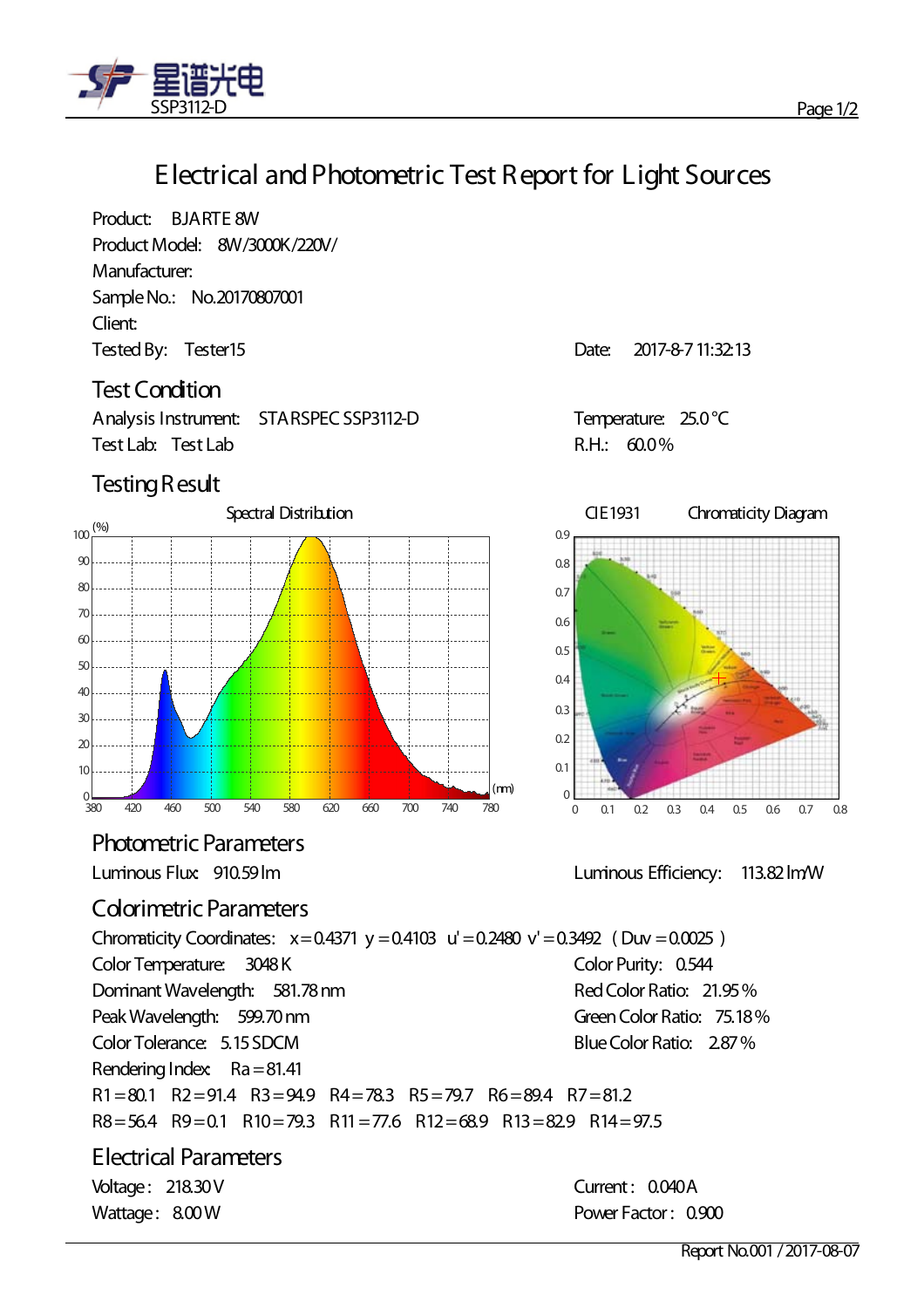

## **Electrical andPhotometric Test Report for Light Sources**

Product: BJARTE 8W Product Model: 8W/3000K/220V/ Manufacturer: SampleNo.: No.20170807001 Client: Tested By: Tester 15 and the US and the US are the US and Date: 2017-8-7 11:32:13

#### **Test Condition**

Analysis Instrument: STARSPEC SSP3112-D<br>
Temperature: 25.0 °C Test Lab: Test Lab R.H.: 60.0%

### **Testing Result**



**Photometric Parameters** 

### **Colorimetric Parameters**

Chromaticity Coordinates:  $x=0.4371$  y = 0.4103 u' = 0.2480 v' = 0.3492 (Duv = 0.0025) Color Temperature: 3048 K Color Purity: 0.544 DominantWavelength: 581.78nm Peak Wavelength: 599.70 nm Color Tolerance: 5.15SDCM RedColor Ratio: 21.95% Green Color Ratio: 75,18% BlueColor Ratio: 2.87% Rendering Index:  $Ra = 81.41$ R1=80.1 R2=91.4 R3=94.9 R4=78.3 R5=79.7 R6=89.4 R7=81.2  $R8 = 56.4$   $R9 = 0.1$   $R10 = 79.3$   $R11 = 77.6$   $R12 = 68.9$   $R13 = 82.9$   $R14 = 97.5$ 

#### **Electrical Parameters** Voltage: 218.30V Current: 0.040A



Luminous Flux: 910.59lm Luminous Efficiency: 113.82lm/W

Wattage: 8.00 W **Power Factor: 0.900**